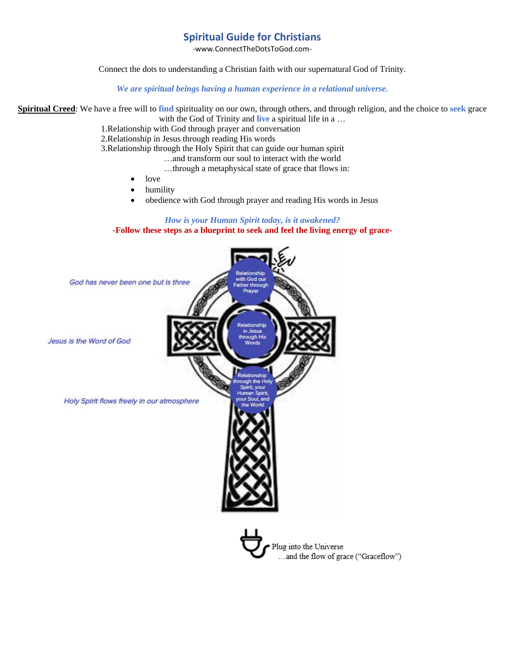# **Spiritual Guide for Christians**

-www.ConnectTheDotsToGod.com-

Connect the dots to understanding a Christian faith with our supernatural God of Trinity.

*We are spiritual beings having a human experience in a relational universe.*

**Spiritual Creed**: We have a free will to **find** spirituality on our own, through others, and through religion, and the choice to **seek** grace with the God of Trinity and **live** a spiritual life in a ...

1.Relationship with God through prayer and conversation

2.Relationship in Jesus through reading His words

3.Relationship through the Holy Spirit that can guide our human spirit

…and transform our soul to interact with the world

- …through a metaphysical state of grace that flows in:
- love
- humility
- obedience with God through prayer and reading His words in Jesus

# *How is your Human Spirit today, is it awakened?*

**-Follow these steps as a blueprint to seek and feel the living energy of grace-**

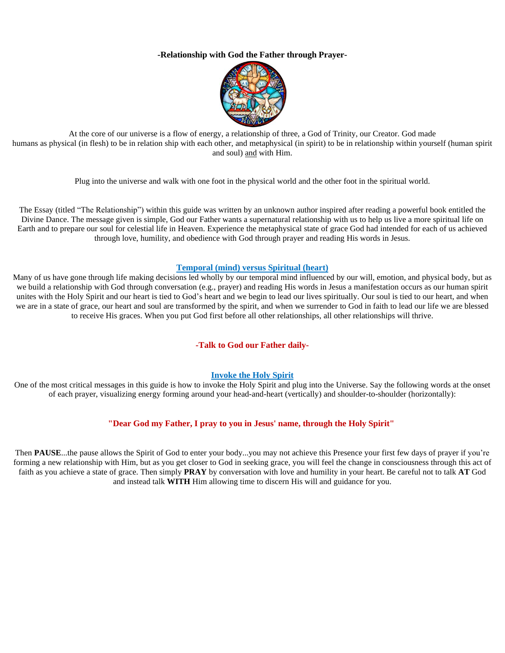# **-Relationship with God the Father through Prayer-**



At the core of our universe is a flow of energy, a relationship of three, a God of Trinity, our Creator. God made humans as physical (in flesh) to be in relation ship with each other, and metaphysical (in spirit) to be in relationship within yourself (human spirit and soul) and with Him.

Plug into the universe and walk with one foot in the physical world and the other foot in the spiritual world.

The Essay (titled "The Relationship") within this guide was written by an unknown author inspired after reading a powerful book entitled the Divine Dance. The message given is simple, God our Father wants a supernatural relationship with us to help us live a more spiritual life on Earth and to prepare our soul for celestial life in Heaven. Experience the metaphysical state of grace God had intended for each of us achieved through love, humility, and obedience with God through prayer and reading His words in Jesus.

## **Temporal (mind) versus Spiritual (heart)**

Many of us have gone through life making decisions led wholly by our temporal mind influenced by our will, emotion, and physical body, but as we build a relationship with God through conversation (e.g., prayer) and reading His words in Jesus a manifestation occurs as our human spirit unites with the Holy Spirit and our heart is tied to God's heart and we begin to lead our lives spiritually. Our soul is tied to our heart, and when we are in a state of grace, our heart and soul are transformed by the spirit, and when we surrender to God in faith to lead our life we are blessed to receive His graces. When you put God first before all other relationships, all other relationships will thrive.

## **-Talk to God our Father daily-**

## **Invoke the Holy Spirit**

One of the most critical messages in this guide is how to invoke the Holy Spirit and plug into the Universe. Say the following words at the onset of each prayer, visualizing energy forming around your head-and-heart (vertically) and shoulder-to-shoulder (horizontally):

## **"Dear God my Father, I pray to you in Jesus' name, through the Holy Spirit"**

Then **PAUSE**...the pause allows the Spirit of God to enter your body...you may not achieve this Presence your first few days of prayer if you're forming a new relationship with Him, but as you get closer to God in seeking grace, you will feel the change in consciousness through this act of faith as you achieve a state of grace. Then simply **PRAY** by conversation with love and humility in your heart. Be careful not to talk **AT** God and instead talk **WITH** Him allowing time to discern His will and guidance for you.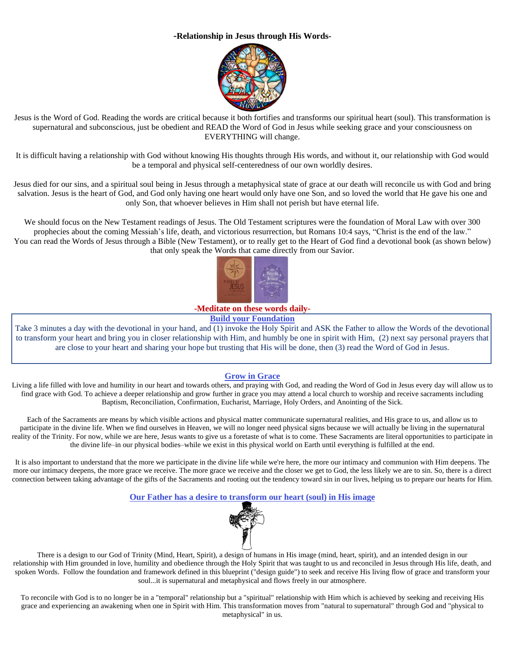# **-Relationship in Jesus through His Words-**



Jesus is the Word of God. Reading the words are critical because it both fortifies and transforms our spiritual heart (soul). This transformation is supernatural and subconscious, just be obedient and READ the Word of God in Jesus while seeking grace and your consciousness on EVERYTHING will change.

It is difficult having a relationship with God without knowing His thoughts through His words, and without it, our relationship with God would be a temporal and physical self-centeredness of our own worldly desires.

Jesus died for our sins, and a spiritual soul being in Jesus through a metaphysical state of grace at our death will reconcile us with God and bring salvation. Jesus is the heart of God, and God only having one heart would only have one Son, and so loved the world that He gave his one and only Son, that whoever believes in Him shall not perish but have eternal life.

We should focus on the New Testament readings of Jesus. The Old Testament scriptures were the foundation of Moral Law with over 300 prophecies about the coming Messiah's life, death, and victorious resurrection, but Romans 10:4 says, "Christ is the end of the law." You can read the Words of Jesus through a Bible (New Testament), or to really get to the Heart of God find a devotional book (as shown below) that only speak the Words that came directly from our Savior.



**-Meditate on these words daily-**

**Build your Foundation**

Take 3 minutes a day with the devotional in your hand, and (1) invoke the Holy Spirit and ASK the Father to allow the Words of the devotional to transform your heart and bring you in closer relationship with Him, and humbly be one in spirit with Him, (2) next say personal prayers that are close to your heart and sharing your hope but trusting that His will be done, then (3) read the Word of God in Jesus.

# **Grow in Grace**

Living a life filled with love and humility in our heart and towards others, and praying with God, and reading the Word of God in Jesus every day will allow us to find grace with God. To achieve a deeper relationship and grow further in grace you may attend a local church to worship and receive sacraments including Baptism, Reconciliation, Confirmation, Eucharist, Marriage, Holy Orders, and Anointing of the Sick.

Each of the Sacraments are means by which visible actions and physical matter communicate supernatural realities, and His grace to us, and allow us to participate in the divine life. When we find ourselves in Heaven, we will no longer need physical signs because we will actually be living in the supernatural reality of the Trinity. For now, while we are here, Jesus wants to give us a foretaste of what is to come. These Sacraments are literal opportunities to participate in the divine life–in our physical bodies–while we exist in this physical world on Earth until everything is fulfilled at the end.

It is also important to understand that the more we participate in the divine life while we're here, the more our intimacy and communion with Him deepens. The more our intimacy deepens, the more grace we receive. The more grace we receive and the closer we get to God, the less likely we are to sin. So, there is a direct connection between taking advantage of the gifts of the Sacraments and rooting out the tendency toward sin in our lives, helping us to prepare our hearts for Him.

**Our Father has a desire to transform our heart (soul) in His image**



There is a design to our God of Trinity (Mind, Heart, Spirit), a design of humans in His image (mind, heart, spirit), and an intended design in our relationship with Him grounded in love, humility and obedience through the Holy Spirit that was taught to us and reconciled in Jesus through His life, death, and spoken Words. Follow the foundation and framework defined in this blueprint ("design guide") to seek and receive His living flow of grace and transform your soul...it is supernatural and metaphysical and flows freely in our atmosphere.

To reconcile with God is to no longer be in a "temporal" relationship but a "spiritual" relationship with Him which is achieved by seeking and receiving His grace and experiencing an awakening when one in Spirit with Him. This transformation moves from "natural to supernatural" through God and "physical to metaphysical" in us.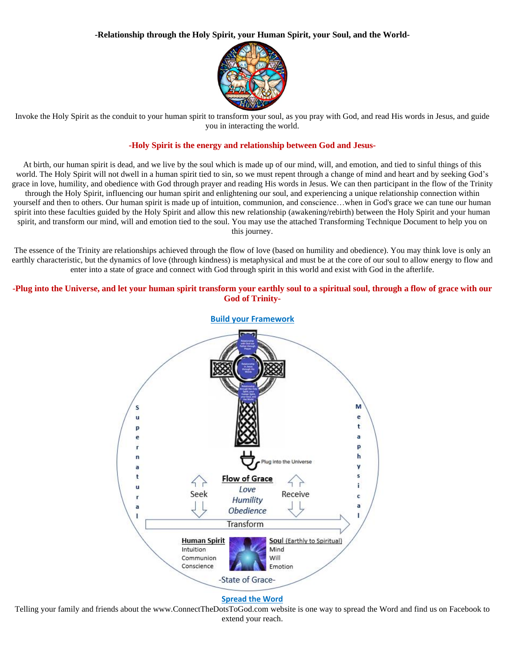# **-Relationship through the Holy Spirit, your Human Spirit, your Soul, and the World-**



Invoke the Holy Spirit as the conduit to your human spirit to transform your soul, as you pray with God, and read His words in Jesus, and guide you in interacting the world.

# **-Holy Spirit is the energy and relationship between God and Jesus-**

At birth, our human spirit is dead, and we live by the soul which is made up of our mind, will, and emotion, and tied to sinful things of this world. The Holy Spirit will not dwell in a human spirit tied to sin, so we must repent through a change of mind and heart and by seeking God's grace in love, humility, and obedience with God through prayer and reading His words in Jesus. We can then participant in the flow of the Trinity through the Holy Spirit, influencing our human spirit and enlightening our soul, and experiencing a unique relationship connection within yourself and then to others. Our human spirit is made up of intuition, communion, and conscience…when in God's grace we can tune our human spirit into these faculties guided by the Holy Spirit and allow this new relationship (awakening/rebirth) between the Holy Spirit and your human spirit, and transform our mind, will and emotion tied to the soul. You may use the attached Transforming Technique Document to help you on this journey.

The essence of the Trinity are relationships achieved through the flow of love (based on humility and obedience). You may think love is only an earthly characteristic, but the dynamics of love (through kindness) is metaphysical and must be at the core of our soul to allow energy to flow and enter into a state of grace and connect with God through spirit in this world and exist with God in the afterlife.

# -Plug into the Universe, and let your human spirit transform your earthly soul to a spiritual soul, through a flow of grace with our **God of Trinity-**



Telling your family and friends about the www.ConnectTheDotsToGod.com website is one way to spread the Word and find us on Facebook to extend your reach.